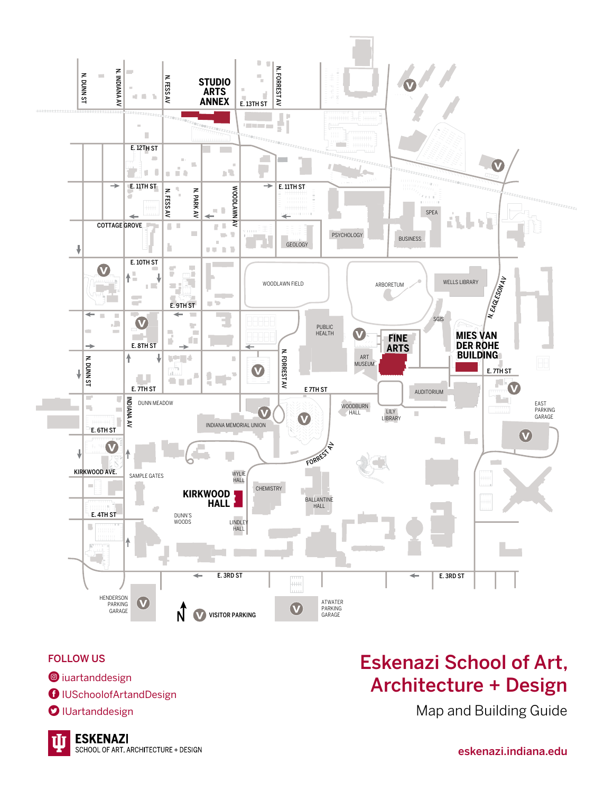

### FOLLOW US

- <sup>O</sup>iuartanddesign
- **O** IUSchoolofArtandDesign
- **O** IUartanddesign

### Eskenazi School of Art, Architecture + Design

Map and Building Guide

eskenazi.indiana.edu